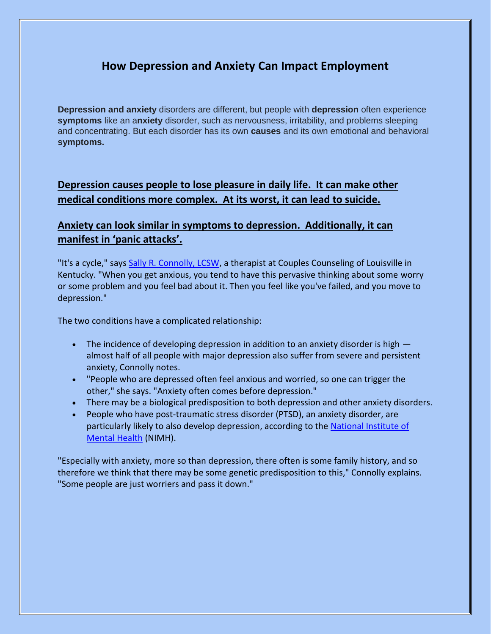## **How Depression and Anxiety Can Impact Employment**

**Depression and anxiety** disorders are different, but people with **depression** often experience **symptoms** like an a**nxiety** disorder, such as nervousness, irritability, and problems sleeping and concentrating. But each disorder has its own **causes** and its own emotional and behavioral **symptoms.** 

**Depression causes people to lose pleasure in daily life. It can make other medical conditions more complex. At its worst, it can lead to suicide.**

## **Anxiety can look similar in symptoms to depression. Additionally, it can manifest in 'panic attacks'.**

"It's a cycle," says [Sally R. Connolly, LCSW,](https://www.psychologytoday.com/us/therapists/sally-connolly-louisville-ky/43045) a therapist at Couples Counseling of Louisville in Kentucky. "When you get anxious, you tend to have this pervasive thinking about some worry or some problem and you feel bad about it. Then you feel like you've failed, and you move to depression."

The two conditions have a complicated relationship:

- The incidence of developing depression in addition to an anxiety disorder is high  $$ almost half of all people with major depression also suffer from severe and persistent anxiety, Connolly notes.
- "People who are depressed often feel anxious and worried, so one can trigger the other," she says. "Anxiety often comes before depression."
- There may be a biological predisposition to both depression and other anxiety disorders.
- People who have post-traumatic stress disorder (PTSD), an anxiety disorder, are particularly likely to also develop depression, according to the National Institute of [Mental Health](https://www.nimh.nih.gov/health/publications/depression/index.shtml?rf=3247) (NIMH).

"Especially with anxiety, more so than depression, there often is some family history, and so therefore we think that there may be some genetic predisposition to this," Connolly explains. "Some people are just worriers and pass it down."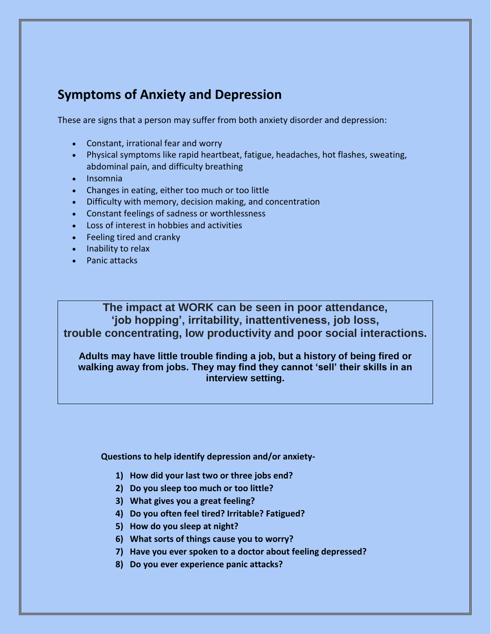## **Symptoms of Anxiety and Depression**

These are signs that a person may suffer from both anxiety disorder and depression:

- Constant, irrational fear and worry
- Physical symptoms like rapid heartbeat, fatigue, headaches, hot flashes, sweating, abdominal pain, and difficulty breathing
- Insomnia
- Changes in eating, either too much or too little
- Difficulty with memory, decision making, and concentration
- Constant feelings of sadness or worthlessness
- Loss of interest in hobbies and activities
- Feeling tired and cranky
- Inability to relax
- Panic attacks

**The impact at WORK can be seen in poor attendance, 'job hopping', irritability, inattentiveness, job loss, trouble concentrating, low productivity and poor social interactions.**

**Adults may have little trouble finding a job, but a history of being fired or walking away from jobs. They may find they cannot 'sell' their skills in an interview setting.**

**Questions to help identify depression and/or anxiety-**

- **1) How did your last two or three jobs end?**
- **2) Do you sleep too much or too little?**
- **3) What gives you a great feeling?**
- **4) Do you often feel tired? Irritable? Fatigued?**
- **5) How do you sleep at night?**
- **6) What sorts of things cause you to worry?**
- **7) Have you ever spoken to a doctor about feeling depressed?**
- **8) Do you ever experience panic attacks?**